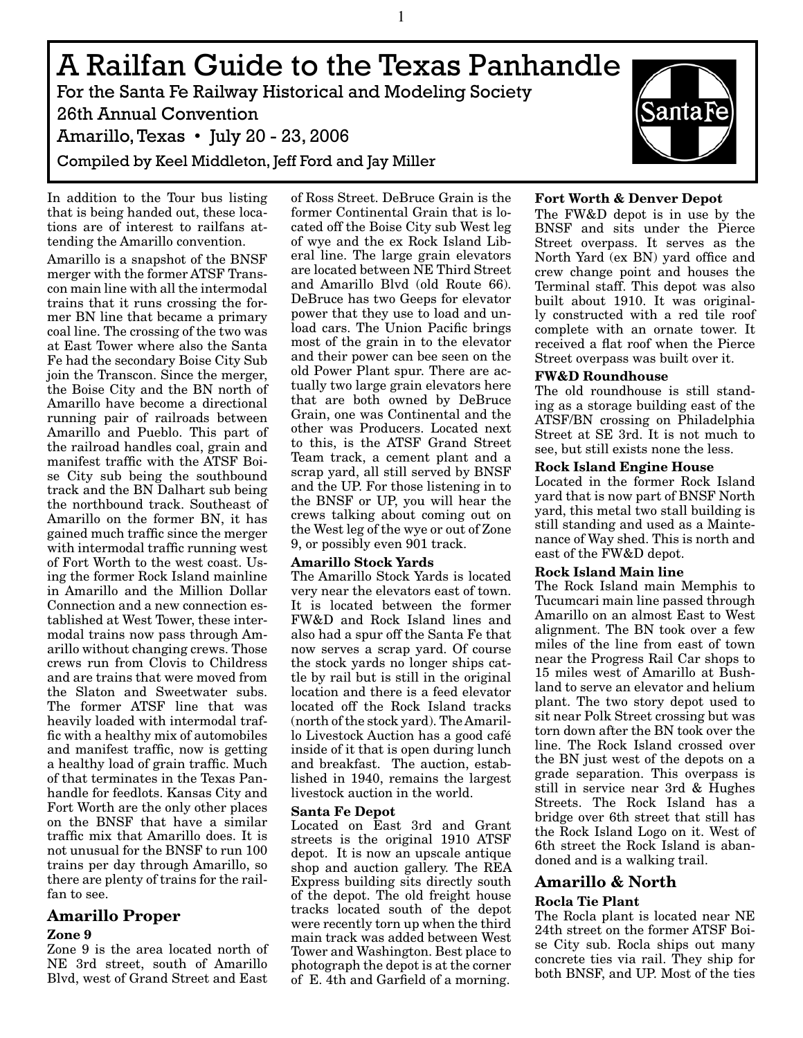A Railfan Guide to the Texas Panhandle For the Santa Fe Railway Historical and Modeling Society

26th Annual Convention Amarillo, Texas • July 20 - 23, 2006 Compiled by Keel Middleton, Jeff Ford and Jay Miller

In addition to the Tour bus listing that is being handed out, these locations are of interest to railfans attending the Amarillo convention.

Amarillo is a snapshot of the BNSF merger with the former ATSF Transcon main line with all the intermodal trains that it runs crossing the former BN line that became a primary coal line. The crossing of the two was at East Tower where also the Santa Fe had the secondary Boise City Sub join the Transcon. Since the merger, the Boise City and the BN north of Amarillo have become a directional running pair of railroads between Amarillo and Pueblo. This part of the railroad handles coal, grain and manifest traffic with the ATSF Boise City sub being the southbound track and the BN Dalhart sub being the northbound track. Southeast of Amarillo on the former BN, it has gained much traffic since the merger with intermodal traffic running west of Fort Worth to the west coast. Using the former Rock Island mainline in Amarillo and the Million Dollar Connection and a new connection established at West Tower, these intermodal trains now pass through Amarillo without changing crews. Those crews run from Clovis to Childress and are trains that were moved from the Slaton and Sweetwater subs. The former ATSF line that was heavily loaded with intermodal traffic with a healthy mix of automobiles and manifest traffic, now is getting a healthy load of grain traffic. Much of that terminates in the Texas Panhandle for feedlots. Kansas City and Fort Worth are the only other places on the BNSF that have a similar traffic mix that Amarillo does. It is not unusual for the BNSF to run 100 trains per day through Amarillo, so there are plenty of trains for the railfan to see.

# **Amarillo Proper**

# **Zone 9**

Zone 9 is the area located north of NE 3rd street, south of Amarillo Blvd, west of Grand Street and East of Ross Street. DeBruce Grain is the former Continental Grain that is located off the Boise City sub West leg of wye and the ex Rock Island Liberal line. The large grain elevators are located between NE Third Street and Amarillo Blvd (old Route 66). DeBruce has two Geeps for elevator power that they use to load and unload cars. The Union Pacific brings most of the grain in to the elevator and their power can bee seen on the old Power Plant spur. There are actually two large grain elevators here that are both owned by DeBruce Grain, one was Continental and the other was Producers. Located next to this, is the ATSF Grand Street Team track, a cement plant and a scrap yard, all still served by BNSF and the UP. For those listening in to the BNSF or UP, you will hear the crews talking about coming out on the West leg of the wye or out of Zone 9, or possibly even 901 track.

# **Amarillo Stock Yards**

The Amarillo Stock Yards is located very near the elevators east of town. It is located between the former FW&D and Rock Island lines and also had a spur off the Santa Fe that now serves a scrap yard. Of course the stock yards no longer ships cattle by rail but is still in the original location and there is a feed elevator located off the Rock Island tracks (north of the stock yard). The Amarillo Livestock Auction has a good café inside of it that is open during lunch and breakfast. The auction, established in 1940, remains the largest livestock auction in the world.

## **Santa Fe Depot**

Located on East 3rd and Grant streets is the original 1910 ATSF depot. It is now an upscale antique shop and auction gallery. The REA Express building sits directly south of the depot. The old freight house tracks located south of the depot were recently torn up when the third main track was added between West Tower and Washington. Best place to photograph the depot is at the corner of E. 4th and Garfield of a morning.



# **Fort Worth & Denver Depot**

The FW&D depot is in use by the BNSF and sits under the Pierce Street overpass. It serves as the North Yard (ex BN) yard office and crew change point and houses the Terminal staff. This depot was also built about 1910. It was originally constructed with a red tile roof complete with an ornate tower. It received a flat roof when the Pierce Street overpass was built over it.

## **FW&D Roundhouse**

The old roundhouse is still standing as a storage building east of the ATSF/BN crossing on Philadelphia Street at SE 3rd. It is not much to see, but still exists none the less.

## **Rock Island Engine House**

Located in the former Rock Island yard that is now part of BNSF North yard, this metal two stall building is still standing and used as a Maintenance of Way shed. This is north and east of the FW&D depot.

## **Rock Island Main line**

The Rock Island main Memphis to Tucumcari main line passed through Amarillo on an almost East to West alignment. The BN took over a few miles of the line from east of town near the Progress Rail Car shops to 15 miles west of Amarillo at Bushland to serve an elevator and helium plant. The two story depot used to sit near Polk Street crossing but was torn down after the BN took over the line. The Rock Island crossed over the BN just west of the depots on a grade separation. This overpass is still in service near 3rd & Hughes Streets. The Rock Island has a bridge over 6th street that still has the Rock Island Logo on it. West of 6th street the Rock Island is abandoned and is a walking trail.

# **Amarillo & North**

# **Rocla Tie Plant**

The Rocla plant is located near NE 24th street on the former ATSF Boise City sub. Rocla ships out many concrete ties via rail. They ship for both BNSF, and UP. Most of the ties

1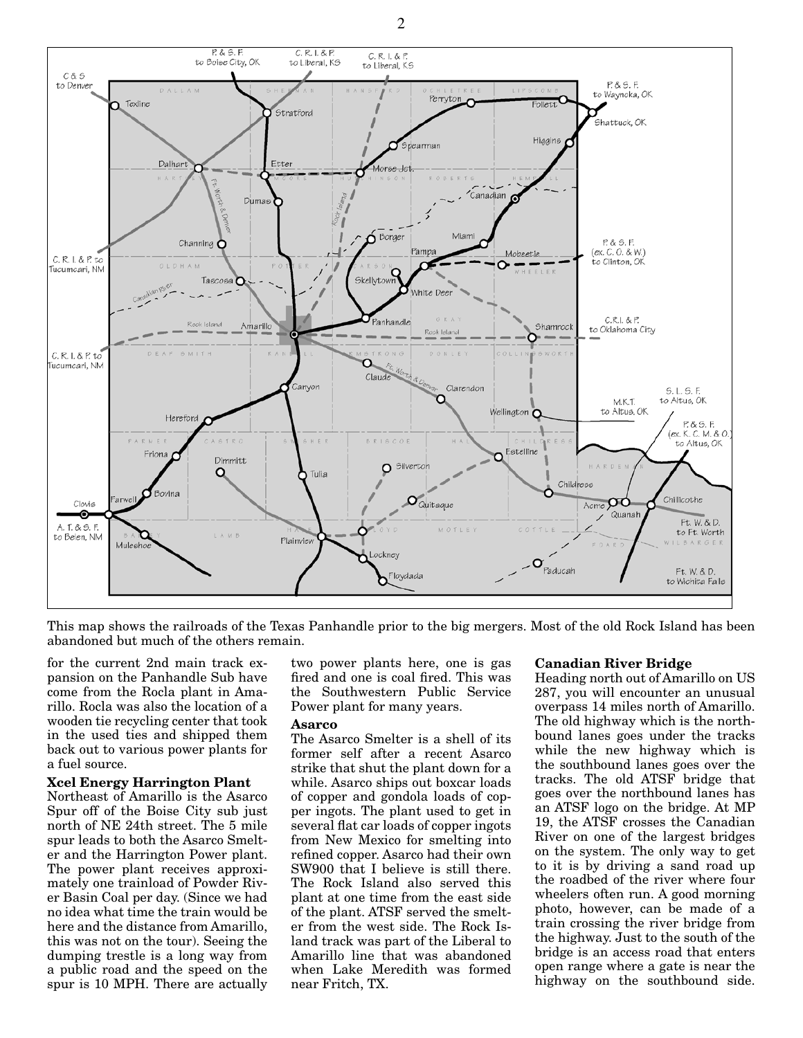

This map shows the railroads of the Texas Panhandle prior to the big mergers. Most of the old Rock Island has been abandoned but much of the others remain.

for the current 2nd main track expansion on the Panhandle Sub have come from the Rocla plant in Amarillo. Rocla was also the location of a wooden tie recycling center that took in the used ties and shipped them back out to various power plants for a fuel source.

#### **Xcel Energy Harrington Plant**

Northeast of Amarillo is the Asarco Spur off of the Boise City sub just north of NE 24th street. The 5 mile spur leads to both the Asarco Smelter and the Harrington Power plant. The power plant receives approximately one trainload of Powder River Basin Coal per day. (Since we had no idea what time the train would be here and the distance from Amarillo, this was not on the tour). Seeing the dumping trestle is a long way from a public road and the speed on the spur is 10 MPH. There are actually

two power plants here, one is gas fired and one is coal fired. This was the Southwestern Public Service Power plant for many years.

#### **Asarco**

The Asarco Smelter is a shell of its former self after a recent Asarco strike that shut the plant down for a while. Asarco ships out boxcar loads of copper and gondola loads of copper ingots. The plant used to get in several flat car loads of copper ingots from New Mexico for smelting into refined copper. Asarco had their own SW900 that I believe is still there. The Rock Island also served this plant at one time from the east side of the plant. ATSF served the smelter from the west side. The Rock Island track was part of the Liberal to Amarillo line that was abandoned when Lake Meredith was formed near Fritch, TX.

#### **Canadian River Bridge**

Heading north out of Amarillo on US 287, you will encounter an unusual overpass 14 miles north of Amarillo. The old highway which is the northbound lanes goes under the tracks while the new highway which is the southbound lanes goes over the tracks. The old ATSF bridge that goes over the northbound lanes has an ATSF logo on the bridge. At MP 19, the ATSF crosses the Canadian River on one of the largest bridges on the system. The only way to get to it is by driving a sand road up the roadbed of the river where four wheelers often run. A good morning photo, however, can be made of a train crossing the river bridge from the highway. Just to the south of the bridge is an access road that enters open range where a gate is near the highway on the southbound side.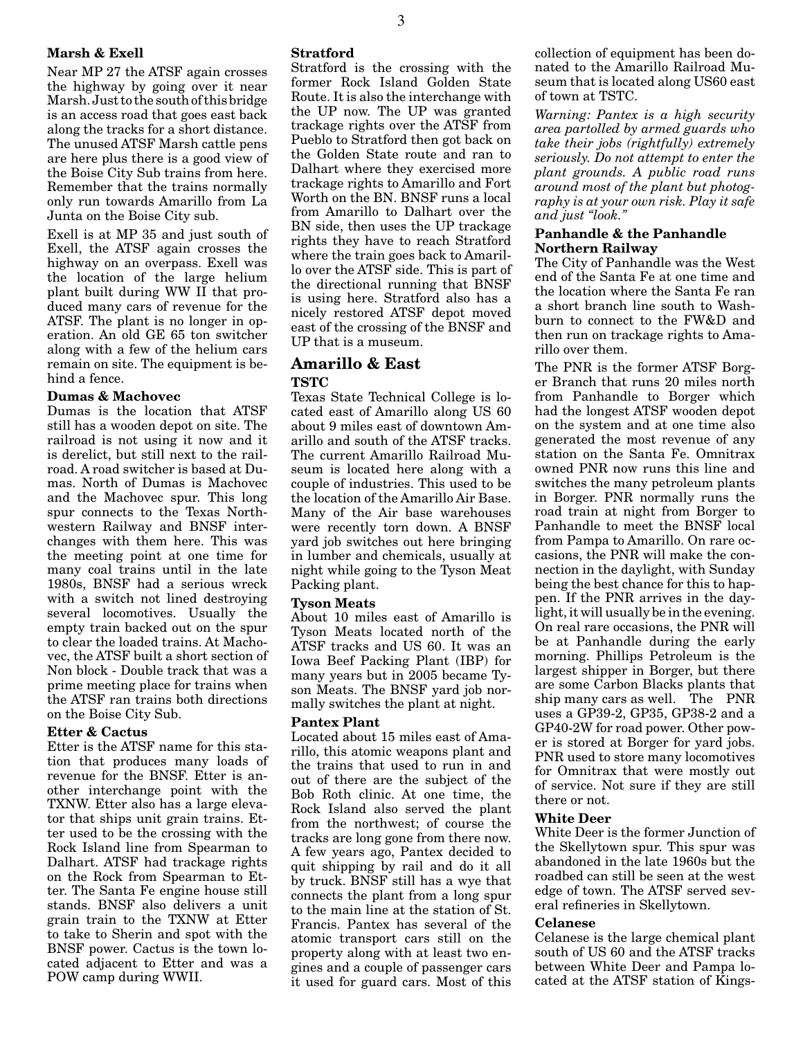## **Marsh & Exell**

Near MP 27 the ATSF again crosses the highway by going over it near Marsh. Just to the south of this bridge is an access road that goes east back along the tracks for a short distance. The unused ATSF Marsh cattle pens are here plus there is a good view of the Boise City Sub trains from here. Remember that the trains normally only run towards Amarillo from La Junta on the Boise City sub.

Exell is at MP 35 and just south of Exell, the ATSF again crosses the highway on an overpass. Exell was the location of the large helium plant built during WW II that produced many cars of revenue for the ATSF. The plant is no longer in operation. An old GE 65 ton switcher along with a few of the helium cars remain on site. The equipment is behind a fence.

## **Dumas & Machovec**

Dumas is the location that ATSF still has a wooden depot on site. The railroad is not using it now and it is derelict, but still next to the railroad. A road switcher is based at Dumas. North of Dumas is Machovec and the Machovec spur. This long spur connects to the Texas Northwestern Railway and BNSF interchanges with them here. This was the meeting point at one time for many coal trains until in the late 1980s, BNSF had a serious wreck with a switch not lined destroying several locomotives. Usually the empty train backed out on the spur to clear the loaded trains. At Machovec, the ATSF built a short section of Non block - Double track that was a prime meeting place for trains when the ATSF ran trains both directions on the Boise City Sub.

## **Etter & Cactus**

Etter is the ATSF name for this station that produces many loads of revenue for the BNSF. Etter is another interchange point with the TXNW. Etter also has a large elevator that ships unit grain trains. Etter used to be the crossing with the Rock Island line from Spearman to Dalhart. ATSF had trackage rights on the Rock from Spearman to Etter. The Santa Fe engine house still stands. BNSF also delivers a unit grain train to the TXNW at Etter to take to Sherin and spot with the BNSF power. Cactus is the town located adjacent to Etter and was a POW camp during WWII.

Stratford is the crossing with the former Rock Island Golden State Route. It is also the interchange with the UP now. The UP was granted trackage rights over the ATSF from Pueblo to Stratford then got back on the Golden State route and ran to Dalhart where they exercised more trackage rights to Amarillo and Fort Worth on the BN. BNSF runs a local from Amarillo to Dalhart over the BN side, then uses the UP trackage rights they have to reach Stratford where the train goes back to Amarillo over the ATSF side. This is part of the directional running that BNSF is using here. Stratford also has a nicely restored ATSF depot moved east of the crossing of the BNSF and UP that is a museum.

## **Amarillo & East TSTC**

Texas State Technical College is located east of Amarillo along US 60 about 9 miles east of downtown Amarillo and south of the ATSF tracks. The current Amarillo Railroad Museum is located here along with a couple of industries. This used to be the location of the Amarillo Air Base. Many of the Air base warehouses were recently torn down. A BNSF yard job switches out here bringing in lumber and chemicals, usually at night while going to the Tyson Meat Packing plant.

## **Tyson Meats**

About 10 miles east of Amarillo is Tyson Meats located north of the ATSF tracks and US 60. It was an Iowa Beef Packing Plant (IBP) for many years but in 2005 became Tyson Meats. The BNSF yard job normally switches the plant at night.

## **Pantex Plant**

Located about 15 miles east of Amarillo, this atomic weapons plant and the trains that used to run in and out of there are the subject of the Bob Roth clinic. At one time, the Rock Island also served the plant from the northwest; of course the tracks are long gone from there now. A few years ago, Pantex decided to quit shipping by rail and do it all by truck. BNSF still has a wye that connects the plant from a long spur to the main line at the station of St. Francis. Pantex has several of the atomic transport cars still on the property along with at least two engines and a couple of passenger cars it used for guard cars. Most of this collection of equipment has been donated to the Amarillo Railroad Museum that is located along US60 east of town at TSTC.

*Warning: Pantex is a high security area partolled by armed guards who take their jobs (rightfully) extremely seriously. Do not attempt to enter the plant grounds. A public road runs around most of the plant but photography is at your own risk. Play it safe and just "look."* 

### **Panhandle & the Panhandle Northern Railway**

The City of Panhandle was the West end of the Santa Fe at one time and the location where the Santa Fe ran a short branch line south to Washburn to connect to the FW&D and then run on trackage rights to Amarillo over them.

The PNR is the former ATSF Borger Branch that runs 20 miles north from Panhandle to Borger which had the longest ATSF wooden depot on the system and at one time also generated the most revenue of any station on the Santa Fe. Omnitrax owned PNR now runs this line and switches the many petroleum plants in Borger. PNR normally runs the road train at night from Borger to Panhandle to meet the BNSF local from Pampa to Amarillo. On rare occasions, the PNR will make the connection in the daylight, with Sunday being the best chance for this to happen. If the PNR arrives in the daylight, it will usually be in the evening. On real rare occasions, the PNR will be at Panhandle during the early morning. Phillips Petroleum is the largest shipper in Borger, but there are some Carbon Blacks plants that ship many cars as well. The PNR uses a GP39-2, GP35, GP38-2 and a GP40-2W for road power. Other power is stored at Borger for yard jobs. PNR used to store many locomotives for Omnitrax that were mostly out of service. Not sure if they are still there or not.

## **White Deer**

White Deer is the former Junction of the Skellytown spur. This spur was abandoned in the late 1960s but the roadbed can still be seen at the west edge of town. The ATSF served several refineries in Skellytown.

#### **Celanese**

Celanese is the large chemical plant south of US 60 and the ATSF tracks between White Deer and Pampa located at the ATSF station of Kings-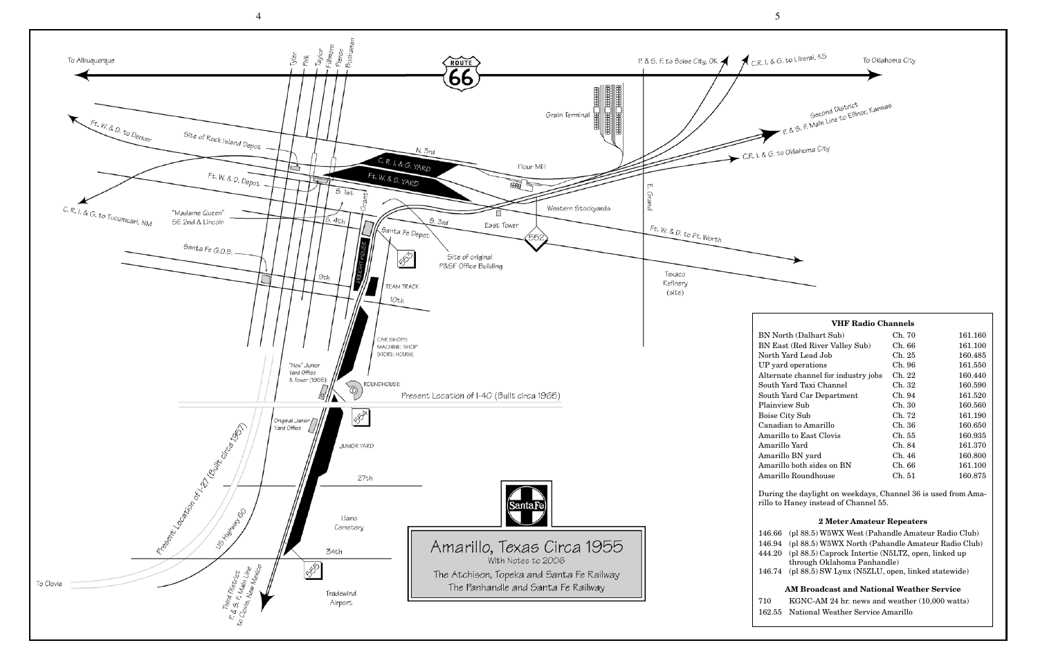| <b>VHF Radio Channels</b> |         |  |  |  |  |  |  |  |  |  |
|---------------------------|---------|--|--|--|--|--|--|--|--|--|
| Ch. 70                    | 161.160 |  |  |  |  |  |  |  |  |  |
| Ch. 66                    | 161.100 |  |  |  |  |  |  |  |  |  |
| Ch. 25                    | 160.485 |  |  |  |  |  |  |  |  |  |
| Ch. 96                    | 161.550 |  |  |  |  |  |  |  |  |  |
| Ch. 22                    | 160.440 |  |  |  |  |  |  |  |  |  |
| Ch. 32                    | 160.590 |  |  |  |  |  |  |  |  |  |
| Ch. 94                    | 161.520 |  |  |  |  |  |  |  |  |  |
| Ch. 30                    | 160.560 |  |  |  |  |  |  |  |  |  |
| Ch. 72                    | 161.190 |  |  |  |  |  |  |  |  |  |
| Ch. 36                    | 160.650 |  |  |  |  |  |  |  |  |  |
| Ch. 55                    | 160.935 |  |  |  |  |  |  |  |  |  |
| Ch. 84                    | 161.370 |  |  |  |  |  |  |  |  |  |
| Ch. 46                    | 160.800 |  |  |  |  |  |  |  |  |  |
| Ch. 66                    | 161.100 |  |  |  |  |  |  |  |  |  |
| Ch. 51                    | 160.875 |  |  |  |  |  |  |  |  |  |
|                           |         |  |  |  |  |  |  |  |  |  |

During the daylight on weekdays, Channel 36 is used from Ama-

## **2 Meter Amateur Repeaters**

| $\lambda$ arm is internal formulation of $\lambda$        |  |  |  |  |  |
|-----------------------------------------------------------|--|--|--|--|--|
| 146.74 (pl 88.5) SW Lynx (N5ZLU, open, linked statewide)  |  |  |  |  |  |
| through Oklahoma Panhandle)                               |  |  |  |  |  |
| 444.20 (pl 88.5) Caprock Intertie (N5LTZ, open, linked up |  |  |  |  |  |
| 146.94 (pl 88.5) W5WX North (Pahandle Amateur Radio Club) |  |  |  |  |  |
| 146.66 (pl 88.5) W5WX West (Pahandle Amateur Radio Club)  |  |  |  |  |  |



710 KGNC-AM 24 hr. news and weather (10,000 watts)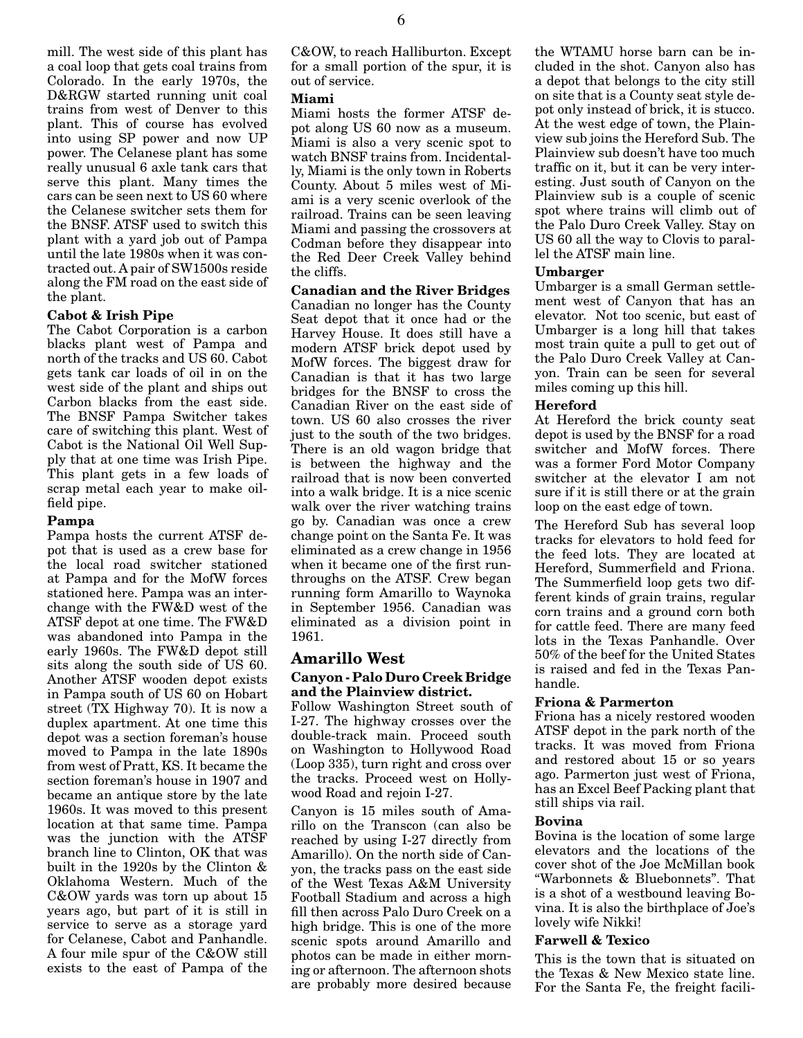mill. The west side of this plant has a coal loop that gets coal trains from Colorado. In the early 1970s, the D&RGW started running unit coal trains from west of Denver to this plant. This of course has evolved into using SP power and now UP power. The Celanese plant has some really unusual 6 axle tank cars that serve this plant. Many times the cars can be seen next to US 60 where the Celanese switcher sets them for the BNSF. ATSF used to switch this plant with a yard job out of Pampa until the late 1980s when it was contracted out. A pair of SW1500s reside along the FM road on the east side of the plant.

## **Cabot & Irish Pipe**

The Cabot Corporation is a carbon blacks plant west of Pampa and north of the tracks and US 60. Cabot gets tank car loads of oil in on the west side of the plant and ships out Carbon blacks from the east side. The BNSF Pampa Switcher takes care of switching this plant. West of Cabot is the National Oil Well Supply that at one time was Irish Pipe. This plant gets in a few loads of scrap metal each year to make oilfield pipe.

## **Pampa**

Pampa hosts the current ATSF depot that is used as a crew base for the local road switcher stationed at Pampa and for the MofW forces stationed here. Pampa was an interchange with the FW&D west of the ATSF depot at one time. The FW&D was abandoned into Pampa in the early 1960s. The FW&D depot still sits along the south side of US 60. Another ATSF wooden depot exists in Pampa south of US 60 on Hobart street (TX Highway 70). It is now a duplex apartment. At one time this depot was a section foreman's house moved to Pampa in the late 1890s from west of Pratt, KS. It became the section foreman's house in 1907 and became an antique store by the late 1960s. It was moved to this present location at that same time. Pampa was the junction with the ATSF branch line to Clinton, OK that was built in the 1920s by the Clinton & Oklahoma Western. Much of the C&OW yards was torn up about 15 years ago, but part of it is still in service to serve as a storage yard for Celanese, Cabot and Panhandle. A four mile spur of the C&OW still exists to the east of Pampa of the C&OW, to reach Halliburton. Except for a small portion of the spur, it is out of service.

## **Miami**

Miami hosts the former ATSF depot along US 60 now as a museum. Miami is also a very scenic spot to watch BNSF trains from. Incidentally, Miami is the only town in Roberts County. About 5 miles west of Miami is a very scenic overlook of the railroad. Trains can be seen leaving Miami and passing the crossovers at Codman before they disappear into the Red Deer Creek Valley behind the cliffs.

## **Canadian and the River Bridges**

Canadian no longer has the County Seat depot that it once had or the Harvey House. It does still have a modern ATSF brick depot used by MofW forces. The biggest draw for Canadian is that it has two large bridges for the BNSF to cross the Canadian River on the east side of town. US 60 also crosses the river just to the south of the two bridges. There is an old wagon bridge that is between the highway and the railroad that is now been converted into a walk bridge. It is a nice scenic walk over the river watching trains go by. Canadian was once a crew change point on the Santa Fe. It was eliminated as a crew change in 1956 when it became one of the first runthroughs on the ATSF. Crew began running form Amarillo to Waynoka in September 1956. Canadian was eliminated as a division point in 1961.

# **Amarillo West**

## **Canyon - Palo Duro Creek Bridge and the Plainview district.**

Follow Washington Street south of I-27. The highway crosses over the double-track main. Proceed south on Washington to Hollywood Road (Loop 335), turn right and cross over the tracks. Proceed west on Hollywood Road and rejoin I-27.

Canyon is 15 miles south of Amarillo on the Transcon (can also be reached by using I-27 directly from Amarillo). On the north side of Canyon, the tracks pass on the east side of the West Texas A&M University Football Stadium and across a high fill then across Palo Duro Creek on a high bridge. This is one of the more scenic spots around Amarillo and photos can be made in either morning or afternoon. The afternoon shots are probably more desired because the WTAMU horse barn can be included in the shot. Canyon also has a depot that belongs to the city still on site that is a County seat style depot only instead of brick, it is stucco. At the west edge of town, the Plainview sub joins the Hereford Sub. The Plainview sub doesn't have too much traffic on it, but it can be very interesting. Just south of Canyon on the Plainview sub is a couple of scenic spot where trains will climb out of the Palo Duro Creek Valley. Stay on US 60 all the way to Clovis to parallel the ATSF main line.

## **Umbarger**

Umbarger is a small German settlement west of Canyon that has an elevator. Not too scenic, but east of Umbarger is a long hill that takes most train quite a pull to get out of the Palo Duro Creek Valley at Canyon. Train can be seen for several miles coming up this hill.

## **Hereford**

At Hereford the brick county seat depot is used by the BNSF for a road switcher and MofW forces. There was a former Ford Motor Company switcher at the elevator I am not sure if it is still there or at the grain loop on the east edge of town.

The Hereford Sub has several loop tracks for elevators to hold feed for the feed lots. They are located at Hereford, Summerfield and Friona. The Summerfield loop gets two different kinds of grain trains, regular corn trains and a ground corn both for cattle feed. There are many feed lots in the Texas Panhandle. Over 50% of the beef for the United States is raised and fed in the Texas Panhandle.

## **Friona & Parmerton**

Friona has a nicely restored wooden ATSF depot in the park north of the tracks. It was moved from Friona and restored about 15 or so years ago. Parmerton just west of Friona, has an Excel Beef Packing plant that still ships via rail.

# **Bovina**

Bovina is the location of some large elevators and the locations of the cover shot of the Joe McMillan book "Warbonnets & Bluebonnets". That is a shot of a westbound leaving Bovina. It is also the birthplace of Joe's lovely wife Nikki!

## **Farwell & Texico**

This is the town that is situated on the Texas & New Mexico state line. For the Santa Fe, the freight facili-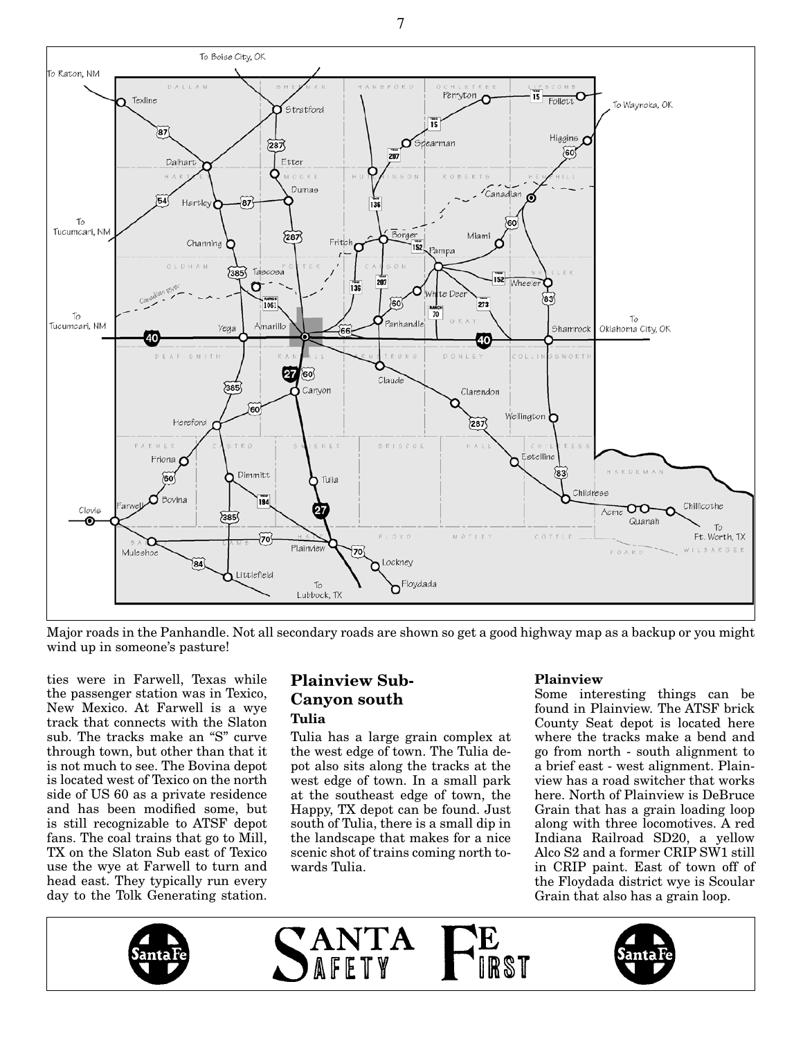

Major roads in the Panhandle. Not all secondary roads are shown so get a good highway map as a backup or you might wind up in someone's pasture!

ties were in Farwell, Texas while the passenger station was in Texico, New Mexico. At Farwell is a wye track that connects with the Slaton sub. The tracks make an "S" curve through town, but other than that it is not much to see. The Bovina depot is located west of Texico on the north side of US 60 as a private residence and has been modified some, but is still recognizable to ATSF depot fans. The coal trains that go to Mill, TX on the Slaton Sub east of Texico use the wye at Farwell to turn and head east. They typically run every day to the Tolk Generating station.

# **Plainview Sub-Canyon south Tulia**

Tulia has a large grain complex at the west edge of town. The Tulia depot also sits along the tracks at the west edge of town. In a small park at the southeast edge of town, the Happy, TX depot can be found. Just south of Tulia, there is a small dip in the landscape that makes for a nice scenic shot of trains coming north towards Tulia.

# **Plainview**

Some interesting things can be found in Plainview. The ATSF brick County Seat depot is located here where the tracks make a bend and go from north - south alignment to a brief east - west alignment. Plainview has a road switcher that works here. North of Plainview is DeBruce Grain that has a grain loading loop along with three locomotives. A red Indiana Railroad SD20, a yellow Alco S2 and a former CRIP SW1 still in CRIP paint. East of town off of the Floydada district wye is Scoular Grain that also has a grain loop.



7